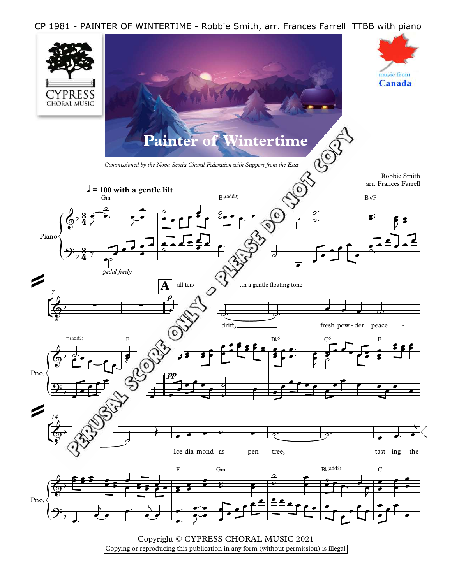CP 1981 - PAINTER OF WINTERTIME - Robbie Smith, arr. Frances Farrell TTBB with piano



Copying or reproducing this publication in any form (without permission) is illegal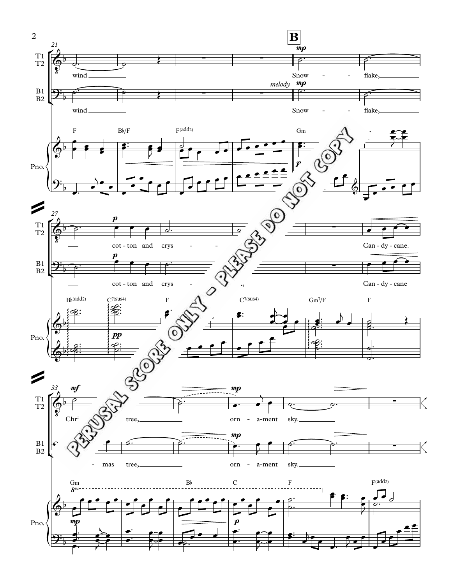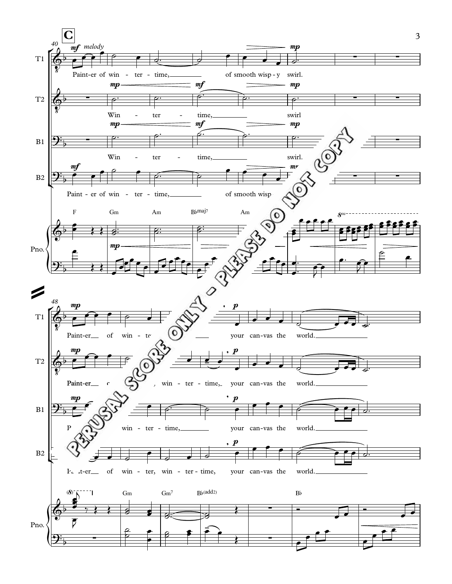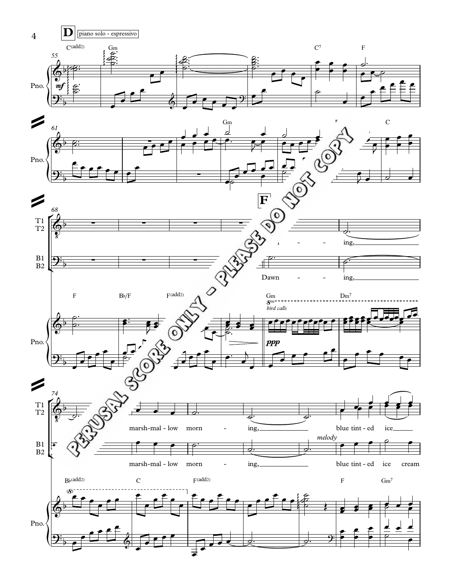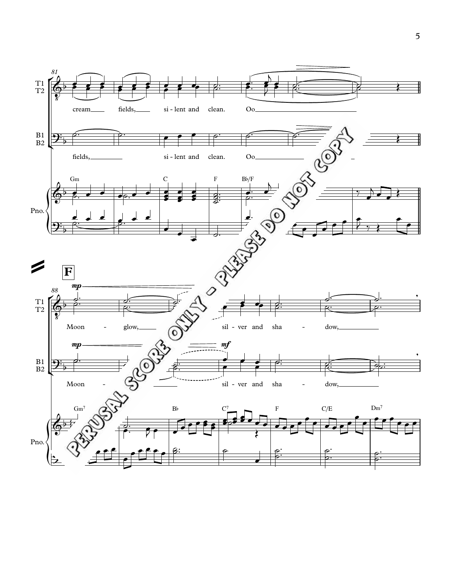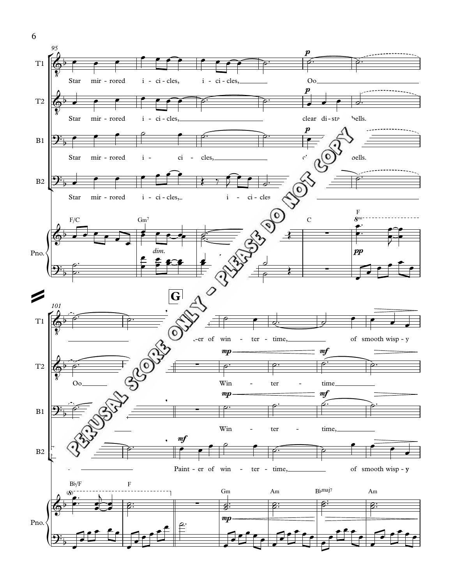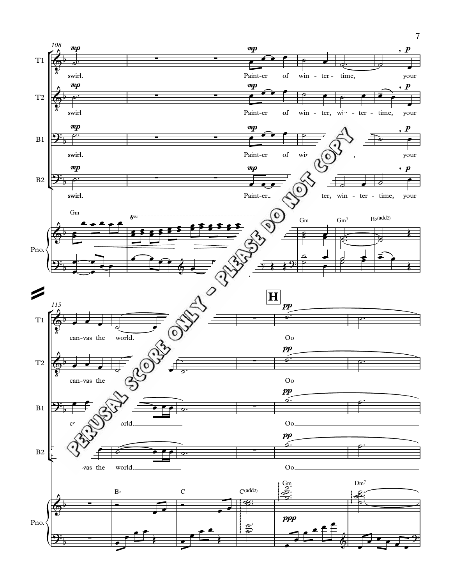

7